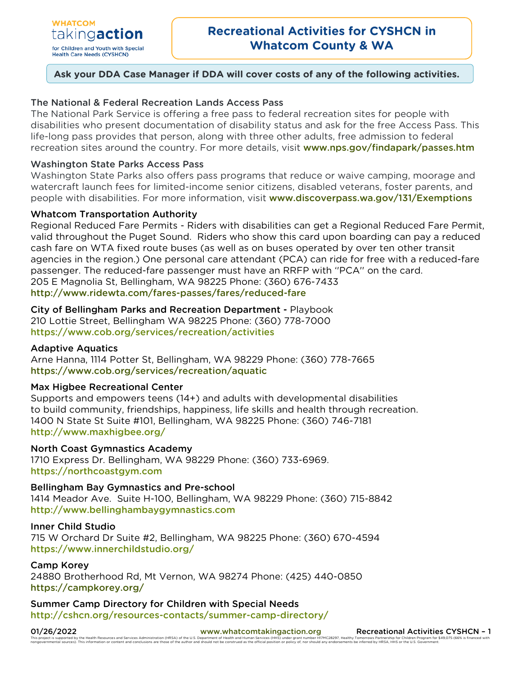# **Ask your DDA Case Manager if DDA will cover costs of any of the following activities.**

## The National & Federal Recreation Lands Access Pass

The National Park Service is offering a free pass to federal recreation sites for people with disabilities who present documentation of disability status and ask for the free Access Pass. This life-long pass provides that person, along with three other adults, free admission to federal recreation sites around the country. For more details, visit [www.nps.gov/findapark/passes.htm](http://www.nps.gov/findapark/passes.htm)

## Washington State Parks Access Pass

Washington State Parks also offers pass programs that reduce or waive camping, moorage and watercraft launch fees for limited-income senior citizens, disabled veterans, foster parents, and people with disabilities. For more information, visit [www.discoverpass.wa.gov/131/Exemptions](http://www.discoverpass.wa.gov/131/Exemptions)

## Whatcom Transportation Authority

Regional Reduced Fare Permits - Riders with disabilities can get a Regional Reduced Fare Permit, valid throughout the Puget Sound. Riders who show this card upon boarding can pay a reduced cash fare on WTA fixed route buses (as well as on buses operated by over ten other transit agencies in the region.) One personal care attendant (PCA) can ride for free with a reduced-fare passenger. The reduced-fare passenger must have an RRFP with ''PCA'' on the card. 205 E Magnolia St, Bellingham, WA 98225 Phone: (360) 676-7433 http://www.ridewta.com/fares-passes/fares/reduced-fare

City of Bellingham Parks and Recreation Department - Playbook 210 Lottie Street, Bellingham WA 98225 Phone: (360) 778-7000 <https://www.cob.org/services/recreation/activities>

## Adaptive Aquatics

Arne Hanna, 1114 Potter St, Bellingham, WA 98229 Phone: (360) 778-7665 <https://www.cob.org/services/recreation/aquatic>

## Max Higbee Recreational Center

Supports and empowers teens (14+) and adults with developmental disabilities to build community, friendships, happiness, life skills and health through recreation. 1400 N State St Suite #101, Bellingham, WA 98225 Phone: (360) 746-7181 <http://www.maxhigbee.org/>

## North Coast Gymnastics Academy

1710 Express Dr. Bellingham, WA 98229 Phone: (360) 733-6969. [https://northcoastgym.com](https://northcoastgym.com/)

Bellingham Bay Gymnastics and Pre-school 1414 Meador Ave. Suite H-100, Bellingham, WA 98229 Phone: (360) 715-8842 [http://www.bellinghambaygymnastics.com](http://www.bellinghambaygymnastics.com/)

## Inner Child Studio

715 W Orchard Dr Suite #2, Bellingham, WA 98225 Phone: (360) 670-4594 https://www.innerchildstudio.org/

## Camp Korey

24880 Brotherhood Rd, Mt Vernon, WA 98274 Phone: (425) 440-0850 https://campkorey.org/

Summer Camp Directory for Children with Special Needs <http://cshcn.org/resources-contacts/summer-camp-directory/>

01/26/2022 [www.whatcomtakingaction.org](http://www.whatcomtakingaction.org/) Recreational Activities CYSHCN - 1 .<br>Is supported by the Health Resources and Services Administration (HRSA) of the U.S. Department of Health and Human Services (HHS) under grant number H17MC28297<br>mental sources). This information or content and conclusions ealthy Tomorrows Partnership for Children Program for \$49,075 (66%<br>ments be inferred by HRSA, HHS or the U.S. Government.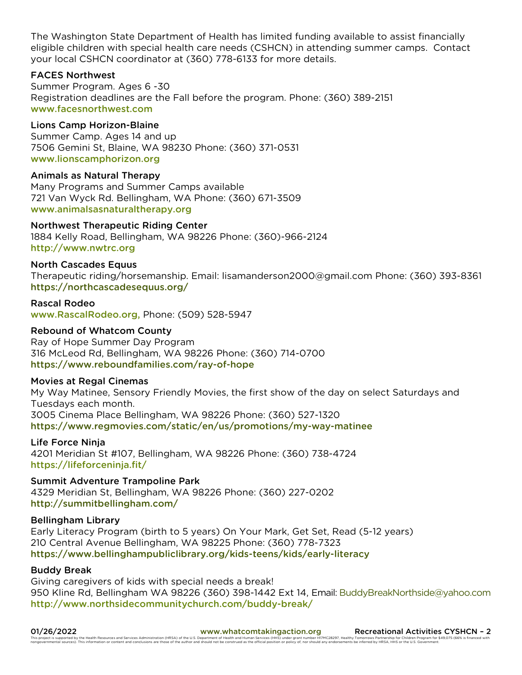The Washington State Department of Health has limited funding available to assist financially eligible children with special health care needs (CSHCN) in attending summer camps. Contact your local CSHCN coordinator at (360) 778-6133 for more details.

## FACES Northwest

Summer Program. Ages 6 -30 Registration deadlines are the Fall before the program. Phone: (360) 389-2151 [www.facesnorthwest.com](http://www.facesnorthwest.com/)

## Lions Camp Horizon-Blaine

Summer Camp. Ages 14 and up 7506 Gemini St, Blaine, WA 98230 Phone: (360) 371-0531 [www.lionscamphorizon.org](http://www.lionscamphorizon.org/)

## Animals as Natural Therapy

Many Programs and Summer Camps available 721 Van Wyck Rd. Bellingham, WA Phone: (360) 671-3509 [www.animalsasnaturaltherapy.org](http://www.animalsasnaturaltherapy.org/)

## Northwest Therapeutic Riding Center

1884 Kelly Road, Bellingham, WA 98226 Phone: (360)-966-2124 [http://www.nwtrc.org](http://www.nwtrc.org/index.php/contact)

## North Cascades Equus

Therapeutic riding/horsemanship. Email: lisamanderson2000@gmail.com Phone: (360) 393-8361 <https://northcascadesequus.org/>

#### Rascal Rodeo

[www.RascalRodeo.org,](http://www.rascalrodeo.org/) Phone: (509) 528-5947

## Rebound of Whatcom County

Ray of Hope Summer Day Program 316 McLeod Rd, Bellingham, WA 98226 Phone: (360) 714-0700 <https://www.reboundfamilies.com/ray-of-hope>

## Movies at Regal Cinemas

My Way Matinee, Sensory Friendly Movies, the first show of the day on select Saturdays and Tuesdays each month. 3005 Cinema Place Bellingham, WA 98226 Phone: (360) 527-1320 <https://www.regmovies.com/static/en/us/promotions/my-way-matinee>

## Life Force Ninja

4201 Meridian St #107, Bellingham, WA 98226 Phone: (360) 738-4724 https://lifeforceninja.fit/

Summit Adventure Trampoline Park 4329 Meridian St, Bellingham, WA 98226 Phone: (360) 227-0202 <http://summitbellingham.com/>

## Bellingham Library

Early Literacy Program (birth to 5 years) On Your Mark, Get Set, Read (5-12 years) 210 Central Avenue Bellingham, WA 98225 Phone: (360) 778-7323 <https://www.bellinghampubliclibrary.org/kids-teens/kids/early-literacy>

## Buddy Break

Giving caregivers of kids with special needs a break! 950 Kline Rd, Bellingham WA 98226 (360) 398-1442 Ext 14, Email: [BuddyBreakNorthside@yahoo.com](mailto:BuddyBreakNorthside@yahoo.com) <http://www.northsidecommunitychurch.com/buddy-break/>

01/26/2022<br>This information or content and cervices Administration (HRSA) of the author and Sample U.S. Department of Health and Sample and Sample and thuman Services and Services Administration (HRSA) of the author and sh This project is supported by the Health Resources and Services Administration (HRSA) of the U.S. Department of Health and Human Services (HHS) under grant number HIMC28297. Healthouse hand construes are the efficial positi